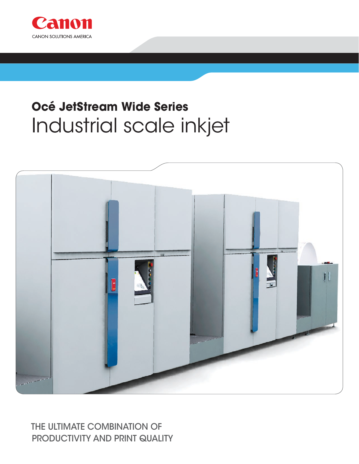

# Océ JetStream Wide Series Industrial scale inkjet



### THE ULTIMATE COMBINATION OF **PRODUCTIVITY AND PRINT QUALITY**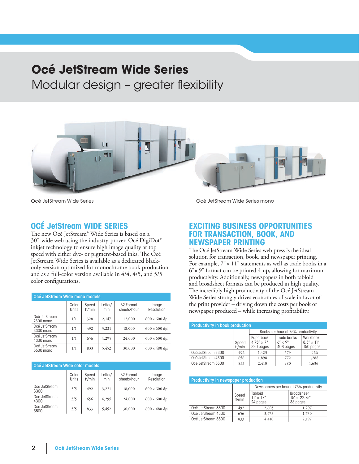## **Océ JetStream Wide Series**

Modular design – greater flexibility



Océ JetStream Wide Series

#### **Océ JetStream Wide series**

The new Océ JetStream® Wide Series is based on a 30"-wide web using the industry-proven Océ DigiDot® inkjet technology to ensure high image quality at top speed with either dye- or pigment-based inks. The Océ JetStream Wide Series is available as a dedicated blackonly version optimized for monochrome book production and as a full-color version available in 4/4, 4/5, and 5/5 color configurations.

| Océ JetStream Wide mono models |                       |                 |                |                                 |                      |  |
|--------------------------------|-----------------------|-----------------|----------------|---------------------------------|----------------------|--|
|                                | Color<br><b>Units</b> | Speed<br>ft/min | Letter/<br>min | <b>B2 Format</b><br>sheets/hour | Image<br>Resolution  |  |
| Océ JetStream<br>2300 mono     | 1/1                   | 328             | 2.147          | 12,000                          | $600 \times 600$ dpi |  |
| Océ JetStream<br>3300 mono     | 1/1                   | 492             | 3,221          | 18,000                          | $600 \times 600$ dpi |  |
| Océ JetStream<br>4300 mono     | 1/1                   | 656             | 4,295          | 24,000                          | $600 \times 600$ dpi |  |
| Océ JetStream<br>5500 mono     | 1/1                   | 833             | 5,452          | 30,000                          | $600 \times 480$ dpi |  |

| Océ JetStream Wide color models |                |                 |                |                                 |                      |  |
|---------------------------------|----------------|-----------------|----------------|---------------------------------|----------------------|--|
|                                 | Color<br>Units | Speed<br>ft/min | Letter/<br>min | <b>B2 Format</b><br>sheets/hour | Image<br>Resolution  |  |
| Océ JetStream<br>3300           | 5/5            | 492             | 3,221          | 18,000                          | $600 \times 600$ dpi |  |
| Océ JetStream<br>4300           | 5/5            | 656             | 4,295          | 24,000                          | $600 \times 600$ dpi |  |
| Océ JetStream<br>5500           | 5/5            | 833             | 5,452          | 30,000                          | $600 \times 480$ dpi |  |

Océ JetStream Wide Series mono

#### **Exciting business opportunities for TRANSACTION, BOOK, AND NEWSPAPER printing**

The Océ JetStream Wide Series web press is the ideal solution for transaction, book, and newspaper printing. For example,  $7" \times 11"$  statements as well as trade books in a 6"× 9" format can be printed 4-up, allowing for maximum productivity. Additionally, newspapers in both tabloid and broadsheet formats can be produced in high quality. The incredibly high productivity of the Océ JetStream Wide Series strongly drives economies of scale in favor of the print provider – driving down the costs per book or newspaper produced – while increasing profitability.

| <b>Productivity in book production</b> |                 |                                               |                                              |                                              |  |
|----------------------------------------|-----------------|-----------------------------------------------|----------------------------------------------|----------------------------------------------|--|
|                                        |                 | Books per hour at 75% productivity            |                                              |                                              |  |
|                                        | Speed<br>ft/min | Paperback<br>$4.75'' \times 7''$<br>320 pages | Trade books<br>$6'' \times 9''$<br>408 pages | Workbook<br>$8.5'' \times 11''$<br>150 pages |  |
| Océ JetStream 3300                     | 492             | 1,423                                         | 579                                          | 966                                          |  |
| Océ JetStream 4300                     | 656             | 1,898                                         | 772                                          | 1,288                                        |  |
| Océ JetStream 5500                     | 833             | 2.410                                         | 980                                          | 1,636                                        |  |

| <b>Productivity in newspaper production</b> |                 |                                         |                                                      |  |  |
|---------------------------------------------|-----------------|-----------------------------------------|------------------------------------------------------|--|--|
|                                             |                 | Newspapers per hour at 75% productivity |                                                      |  |  |
|                                             | Speed<br>ft/min | Tabloid<br>$11" \times 17"$<br>24 pages | <b>Broadsheet</b><br>$15" \times 22.75"$<br>36 pages |  |  |
| Océ JetStream 3300                          | 492             | 2,605                                   | 1,297                                                |  |  |
| Océ JetStream 4300                          | 656             | 3,473                                   | 1,730                                                |  |  |
| Océ JetStream 5500                          | 833             | 4.410                                   | 2,197                                                |  |  |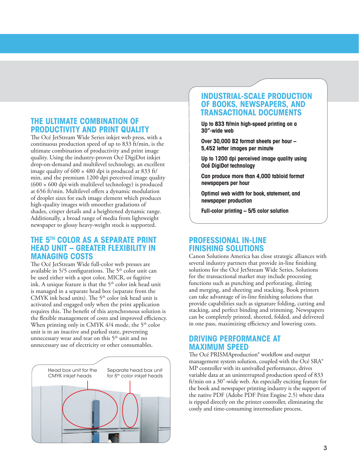#### **The ultimate combination OF productivity and print quality**

The Océ JetStream Wide Series inkjet web press, with a continuous production speed of up to 833 ft/min, is the ultimate combination of productivity and print image quality. Using the industry-proven Océ DigiDot inkjet drop-on-demand and multilevel technology, an excellent image quality of 600 × 480 dpi is produced at 833 ft/ min, and the premium 1200 dpi perceived image quality  $(600 \times 600 \text{ d}$ pi with multilevel technology) is produced at 656 ft/min. Multilevel offers a dynamic modulation of droplet sizes for each image element which produces high-quality images with smoother gradations of shades, crisper details and a heightened dynamic range. Additionally, a broad range of media from lightweight newspaper to glossy heavy-weight stock is supported.

#### **The 5th color as a separate print head unit – greater flexibility in managing costs**

The Océ JetStream Wide full-color web presses are available in  $5/5$  configurations. The  $5<sup>th</sup>$  color unit can be used either with a spot color, MICR, or fugitive ink. A unique feature is that the  $5<sup>th</sup>$  color ink head unit is managed in a separate head box (separate from the CMYK ink head units). The  $5<sup>th</sup>$  color ink head unit is activated and engaged only when the print application requires this. The benefit of this asynchronous solution is the flexible management of costs and improved efficiency. When printing only in CMYK  $4/4$  mode, the 5<sup>th</sup> color unit is in an inactive and parked state, preventing unnecessary wear and tear on this 5<sup>th</sup> unit and no unnecessary use of electricity or other consumables.



#### **Industrial-scale production of books, newspapers, and transactional documents**

**Up to 833 ft/min high-speed printing on a 30"-wide web**

**Over 30,000 B2 format sheets per hour – 5,452 letter images per minute**

**Up to 1200 dpi perceived image quality using Océ DigiDot technology**

**Can produce more than 4,000 tabloid format newspapers per hour**

**Optimal web width for book, statement, and newspaper production**

**Full-color printing – 5/5 color solution**

#### **Professional in-line finishing solutions**

Canon Solutions America has close strategic alliances with several industry partners that provide in-line finishing solutions for the Océ JetStream Wide Series. Solutions for the transactional market may include processing functions such as punching and perforating, slitting and merging, and sheeting and stacking. Book printers can take advantage of in-line finishing solutions that provide capabilities such as signature folding, cutting and stacking, and perfect binding and trimming. Newspapers can be completely printed, sheeted, folded, and delivered in one pass, maximizing efficiency and lowering costs.

#### **Driving performance at maximum speed**

The Océ PRISMAproduction® workflow and output management system solution, coupled with the Océ SRA® MP controller with its unrivalled performance, drives variable data at an uninterrupted production speed of 833 ft/min on a 30"-wide web. An especially exciting feature for the book and newspaper printing industry is the support of the native PDF (Adobe PDF Print Engine 2.5) where data is ripped directly on the printer controller, eliminating the costly and time-consuming intermediate process.